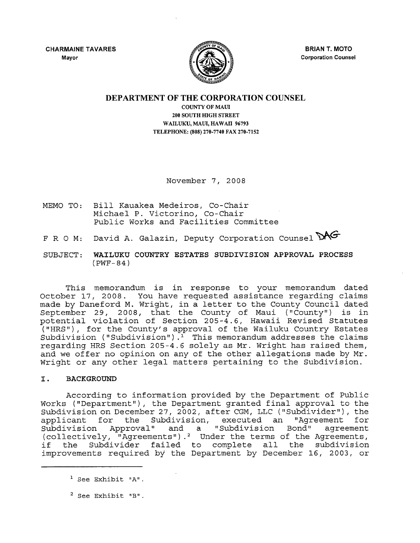**CHARMAINE TAVARES** Mayor



**BRIAN T. MOTO** Corporation Counsel

### **DEPARTMENT OF THE CORPORATION COUNSEL**

COUNTY OF MAUl 200 SOUTH HIGH STREET WAILUKU, MAUl, HAWAll 96793 TELEPHONE: (808) 270-7740 FAX 270-7152

November 7, 2008

- MEMO TO: Bill Kauakea Medeiros, Co-Chair Michael P. Victorino, Co-Chair Public Works and Facilities Committee
- F R O M: David A. Galazin, Deputy Corporation Counsel MG
- SUBJECT: **WAILUKU COUNTRY ESTATES SUBDIVISION APPROVAL PROCESS** (PWF- 84)

This memorandum is in response to your memorandum dated October 17, 2008. You have requested assistance regarding claims made by Daneford M. Wright, in <sup>a</sup> letter to the County Council dated September 29, 2008, that the County of Maui ("County") is in potential violation of Section 205 -4.6, Hawaii Revised Statutes ("HRS"), for the County's approval of the Wailuku Country Estates Subdivision ("Subdivision").<sup>1</sup> This memorandum addresses the claims regarding HRS Section 205-4.6 solely as Mr. Wright has raised them, and we offer no opinion on any of the other allegations made by Mr. Wright or any other legal matters pertaining to the Subdivision.

### **I. BACKGROUND**

According to information provided by the Department of Public Works ("Department"), the Department granted final approval to the Subdivision on December 27, 2002, after CGM, LLC ("Subdivider"), the applicant for the Subdivision, executed an "Agreement for<br>Subdivision Approval" and a "Subdivision Bond" agreement and a "Subdivision (collectively, "Agreements").<sup>2</sup> Under the terms of the Agreements,<br>if the Subdivider failed to complete all the subdivision the Subdivider failed to complete all the subdivision improvements required by the Department by December 16, 2003, or

 $1$  See Exhibit  $"A"$ .

 $2$  See Exhibit "B".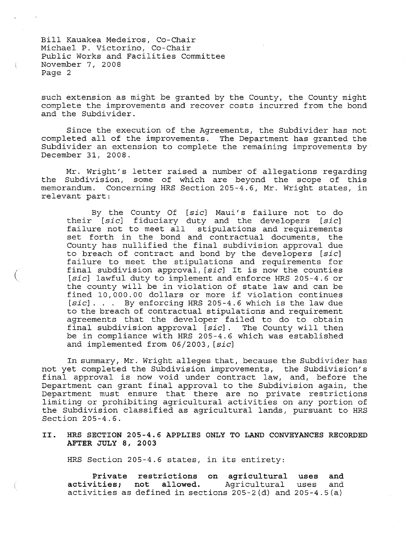(

such extension as might be granted by the County, the County might complete the improvements and recover costs incurred from the bond and the Subdivider.

Since the execution of the Agreements, the Subdivider has not completed all of the improvements. The Department has granted the Subdivider an extension to complete the remaining improvements by December 31, 2008.

Mr. Wright's letter raised <sup>a</sup> number of allegations regarding the Subdivision, some of which are beyond the scope of this memorandum. Concerning HRS Section 205-4.6, Mr. Wright states, in relevant part:

By the County Of [sic] Maui's failure not to do their *[sic]* fiduciary duty and the developers *[sic]* failure not to meet all stipulations and requirements set forth in the bond and contractual documents, the County has nullified the final subdivision approval due to breach of contract and bond by the developers *[sic]* failure to meet the stipulations and requirements for final subdivision approval, *[sic]* It is now the counties *[sic]* lawful duty to implement and enforce HRS 205-4.6 or the county will be in violation of state law and can be fined 10,000.00 dollars or more if violation continues *[sic] .* .. By enforcing HRS 205-4.6 which is the law due  $[sic]$ . . . By enforcing HRS 205-4.6 which is the law due<br>to the breach of contractual stipulations and requirement agreements that the developer failed to do to obtain<br>final subdivision approval [sic]. The County will then final subdivision approval [sic]. be in compliance with HRS 205-4.6 which was established and implemented from 06/2003, *[sic]*

In summary, Mr. Wright alleges that, because the Subdivider has not yet completed the Subdivision improvements, the Subdivision's final approval is now void under contract law, and, before the Department can grant final approval to the Subdivision again, the Department must ensure that there are no private restrictions limiting or prohibiting agricultural activities on any portion of the Subdivision classified as agricultural lands, pursuant to HRS Section 205-4.6.

### **II. HRS SECTION 205-4.6 APPLIES ONLY TO LAND CONVEYANCES RECORDED AFTER JULY 8,** 2003

HRS Section 205-4.6 states, in its entirety:

**Private restrictions on agricultural uses and activities; not allowed.** Agricultural uses and activities as defined in sections  $205-2$  (d) and  $205-4.5$  (a)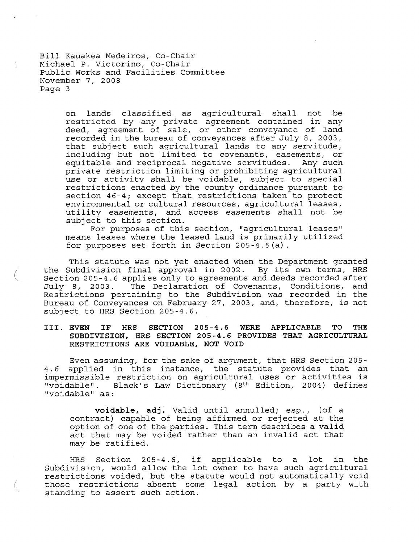(

on lands classified as agricultural shall not be restricted by any private agreement contained in any deed, agreement of sale, or other conveyance of land recorded in the bureau of conveyances after July 8, 2003, that subject such agricultural lands to any servitude, including but not limited to covenants, easements, or equitable and reciprocal negative servitudes. Any such private restriction limiting or prohibiting agricultural use or activity shall be voidable, subject to special restrictions enacted by the county ordinance pursuant to section 46-4; except that restrictions taken to protect environmental or cultural resources, agricultural leases, utility easements, and access easements shall not be subject to this section.

For purposes of this section, "agricultural leases" means leases where the leased land is primarily utilized for purposes set forth in Section 205-4.5(a).

This statute was not yet enacted when the Department granted the Subdivision final approval in 2002. By its own terms, HRS Section 205-4.6 applies only to agreements and deeds recorded after July 8, 2003. The Declaration of Covenants, Conditions, and Restrictions pertaining to the Subdivision was recorded in the Bureau of Conveyances on February 27, 2003, and, therefore, is not subject to HRS Section 205-4.6.

### **III. EVEN IF HRS SECTION 205-4.6 WERE APPLICABLE TO THE SUBDIVISION, HRS SECTION 205-4.6 PROVIDES THAT AGRICULTURAL RESTRICTIONS ARE VOIDABLE, NOT VOID**

Even assuming, for the sake of argument, that HRS Section 205- 4.6 applied in this instance, the statute provides that an impermissible restriction on agricultural uses or activities is "voidable". Black's Law Dictionary (8<sup>th</sup> Edition, 2004) defines "voidable" as:

**voidable, adj.** Valid until annulled; esp., (of <sup>a</sup> contract) capable of being affirmed or rejected at the option of one of the parties. This term describes a valid act that may be voided rather than an invalid act that may be ratified.

HRS Section 205-4.6, if applicable to <sup>a</sup> lot in the Subdivision, would allow the lot owner to have such agricultural restrictions voided, but the statute would not automatically void those restrictions absent some legal action by <sup>a</sup> party with standing to assert such action.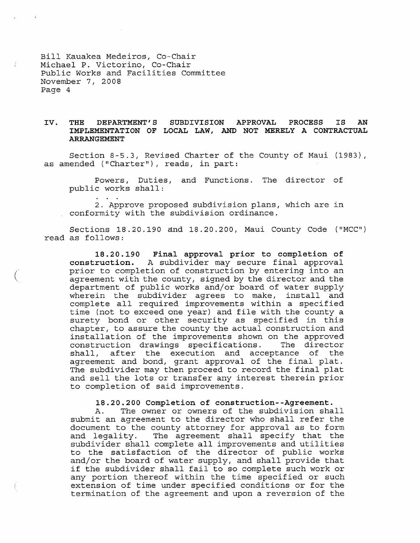$\big($ 

### **IV. THE DEPARTMENT'S SUBDIVISION APPROVAL PROCESS IS AN IMPLEMENTATION OF LOCAL LAW, AND NOT MERELY A CONTRACTUAL ARRANGEMENT**

Section 8-5.3, Revised Charter of the County of Maui (1983), as amended ("Charter"), reads, in part:

Powers, Duties, and Functions. The director of public works shall:

2. Approve proposed subdivision plans, which are in conformity with the subdivision ordinance.

Sections 18.20.190 and 18.20.200, Maui County Code ("MCC") read as follows:

**18.20.190 Final approval prior to completion of construction.** A subdivider may secure final approval prior to completion of construction by entering into an agreement with the county, signed by the director and the department of public works and/or board of water supply wherein the subdivider agrees to make, install and complete all required improvements within <sup>a</sup> specified time (not to exceed one year) and file with the county <sup>a</sup> surety bond or other security as specified in this chapter, to assure the county the actual construction and installation of the improvements shown on the approved construction drawings specifications. shall, after the execution and acceptance of the agreement and bond, grant approval of the final plat. The subdivider may then proceed to record the final plat and sell the lots or transfer any interest therein prior to completion of said improvements.

### **18.20.200 Completion of construction--Agreement.**

A. The owner or owners of the subdivision shall submit an agreement to the director who shall refer the document to the county attorney for approval as to form and legality. The agreement shall specify that the subdivider shall complete all improvements and utilities to the satisfaction of the director of public works and/or the board of water supply, and shall provide that if the subdivider shall fail to so complete such work or any portion thereof within the time specified or such extension of time under specified conditions or for the termination of the agreement and upon a reversion of the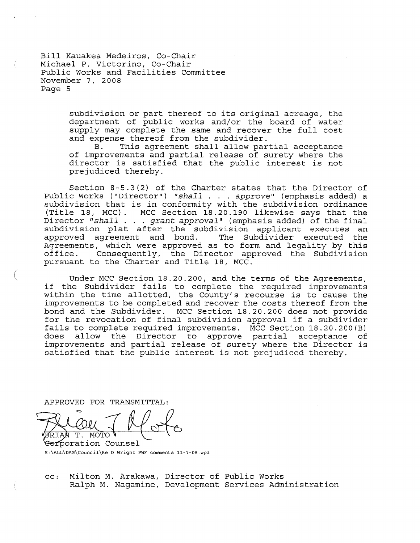> subdivision or part thereof to its original acreage, the department of public works and/or the board of water supply may complete the same and recover the full cost and expense thereof from the subdivider.<br>B. This agreement shall allow par

> This agreement shall allow partial acceptance of improvements and partial release of surety where the director is satisfied that the public interest is not prejudiced thereby.

Section 8-5.3(2) of the Charter states that the Director of Public Works ("Director") *"shall* . . . *approve"* (emphasis added) a subdivision that is in conformity with the subdivision ordinance (Title 18, MCC). MCC Section 18.20.190 likewise says that the Director *"shall* . . . *grant approval"* (emphasis added) of the final subdivision plat after the subdivision applicant executes an approved agreement and bond. The Subdivider executed the Agreements, which were approved as to form and legality by this<br>office. Consequently, the Director approved the Subdivision Consequently, the Director approved the Subdivision pursuant to the Charter and Title 18, MCC.

Under MCC Section 18.20.200, and the terms of the Agreements, if the Subdivider fails to complete the required improvements within the time allotted, the County's recourse is to cause the improvements to be completed and recover the costs thereof from the bond and the Subdivider. MCC Section 18.20.200 does not provide for the revocation of final subdivision approval if <sup>a</sup> subdivider fails to complete required improvements. MCC Section 18.20.200(B)<br>does allow the Director to approve partial acceptance of does allow the Director to approve partial acceptance of improvements and partial release of surety where the Director is satisfied that the public interest is not prejudiced thereby.

APPROVED FOR TRANSMITTAL:

Τ. MOTO

<del>Cor</del>poration Counsel S:\ALL\DAG\Council\Re D wright PWF comments 11-7-0B.wpd

cc: Milton M. Arakawa, Director of Public Works Ralph M. Nagamine, Development Services Administration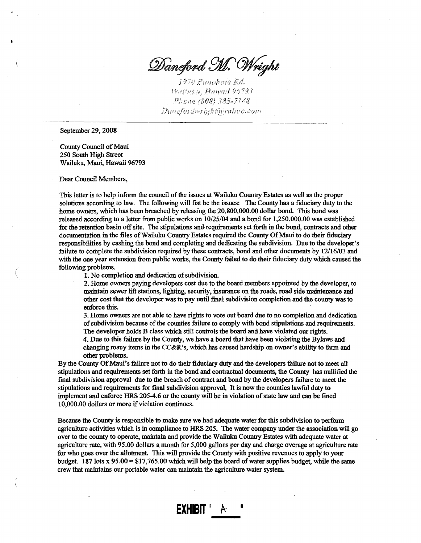Daneford M. Wright

1970 Punohala Rd. Walluku, Hawali 96793 Phone (808) 385-7148 --------------------------------------------

September 29, 2008

County Council of Maui 250 South High Street Wailuku, Maui, Hawaii 96793

Dear Council Members,

(

This letter is to help inform the council of the issues at Wailuku Country Estates as well as the proper solutions according to law. The following will fist be the issues: The County has a fiduciary duty to the home owners, which has been breached by releasing the 20,800,000.00 dollar bond. This bond was released according to a letter from public works on 10/25/04 and a bond for 1,250,000.00 was established for the retention basin off site. The stipulations and requirements set forth in the bond, contracts and other documentation in the files of Wailuku Country Estates required the County Of Maui to do their fiduciary responsibilities by cashing the bond and completing and dedicating the subdivision. Due to the developer's failure to complete the subdivision required by these contracts, bond and other documents by 12/16/03 and with the one year extension from public works, the County failed to do their fiduciary duty which caused the following problems.

1. No completion and dedication of subdivision.

2. Home owners paying developers cost due to the board members appointed by the developer, to maintain sewer lift stations, lighting, security, insurance on the roads, road side maintenance and other cost that the developer was to pay until final subdivision completion and the county was to enforce this.

3. Home owners are not able to have rights to vote out board due to no completion and dedication of subdivision because of the counties failure to comply with bond stipulations and requirements. The developer holds B class which still controls the board and have violated our rights. 4. Due to this failure by the County, we have a board that have been violating the Bylaws and

changing many items in the CC&R's, which has caused hardship on owner's ability to farm and other problems.

By the County Of Maui's failure not to do their fiduciary duty and the developers failure not to meet all stipulations and requirements set forth in the bond and contractual documents, the County has nullified the final subdivision approval due to the breach of contract and bond by the developers failure to meet the stipulations and requirements for final subdivision approval, It is now the counties lawful duty to implement and enforce HRS 205-4.6 or the county will be in violation ofstate law and can be fined 10,000.00 dollars or more if violation continues.

Because the County is responsible to make sure we had adequate water for this subdivision to perform agriculture activities which is in compliance to HRS 205. The water company under the association will go over to the county to operate, maintain and provide the Wailuku Country Estates with adequate water at agriculture rate, with 95.00 dollars a month for 5,000 gallons per day and charge overage at agriculture rate for who goes over the allotment. This will provide the County with positive revenues to apply to your budget. 187 lots x  $95.00 = $17,765.00$  which will help the board of water supplies budget, while the same crew that maintains our portable water can maintain the agriculture water system.

II

**EXHIBIT**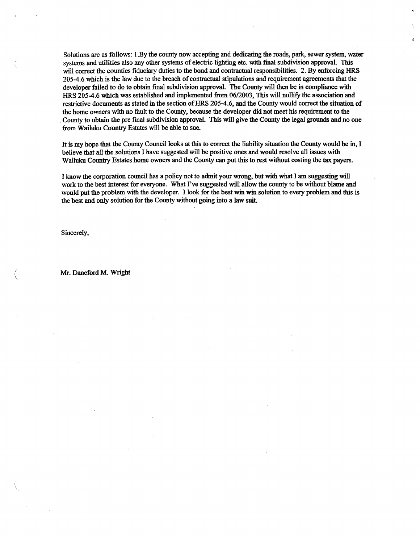Solutions are as follows: I.By the county now accepting and dedicating the roads, park, sewer system, water systems and utilities also any other systems of electric lighting etc. with final subdivision approval. This will correct the counties fiduciary duties to the bond and contractual responsibilities. 2. By enforcing HRS 205-4.6 which is the law due to the breach of contractual stipulations and requirement agreements that the developer failed to do to obtain final subdivision approval. The County will then be in compliance with HRS 205-4.6 which was established and implemented from *06/2003,* This will nullify the association and restrictive documents as stated in the section of HRS 205-4.6, and the County would correct the situation of the home owners with no fault to the County, because the developer did not meet his requirement to the County to obtain the pre final subdivision approval. This will give the County the legal grounds and no one from Wailuku Country Estates will be able to sue.

It is my hope that the County Council looks at this to correct the liability situation the County would be in, I believe that all the solutions I have suggested will be positive ones and would resolve all issues with Wailuku Country Estates home owners and the County can put this to rest without costing the tax payers.

I know the corporation council has a policy not to admit your wrong, but with what I am suggesting will work to the best interest for everyone. What I've suggested will allow the county to be without blame and would put the problem with the developer. I look for the best win win solution to every problem and this is the best and only solution for the County without going into a law suit.

Sincerely,

(

Mr. Daneford M. Wright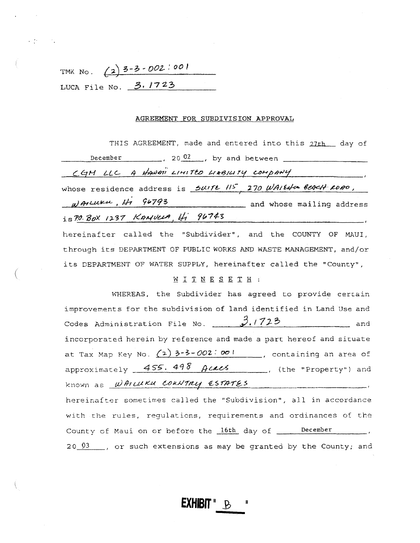| TMK No. |  | $(2)$ 3-3-002:00!      |  |
|---------|--|------------------------|--|
|         |  | LUCA File No. $3.1723$ |  |

### AGREEMENT FOR SUBDIVISION APPROVAL

THIS AGREEMENT, made and entered into this 27th day of December 20 $\frac{02}{100}$ , by and between CGM LLC A HAWAII LIMITED LIABILITY COMPANY whose residence address is Suite 115 270 WAIENO BEACH ROBO,  $\mu$ AILUKU, Hi 96793 and whose mailing address<br>is 7.0. Box 1237 KANULA, Hi 96743

hereinafter called the "Subdivider", and the COUNTY OF MAUI, through its DEPARTMENT OF PUBLIC WORKS AND WASTE MANAGEMENT, and/or its DEPARTMENT OF WATER SUPPLY, hereinafter called the "County",

## WITNESETH :

WHEREAS, the Subdivider has agreed to provide certain improvements for the subdivision of land identified in Land Use and Codes Administration File No.  $3.1723$ and and incorporated herein by reference and made a part hereof and situate approximately 455.498 Acacs (the "Property") and known as WATLUKU COUNTRY ESTATES hereinafter sometimes called the "Subdivision", all in accordance with the rules, regulations, requirements and ordinances of the County of Maui on or before the 16th day of \_\_\_\_ December  $20\frac{03}{1}$ , or such extensions as may be granted by the County; and

**EXHIBIT "** B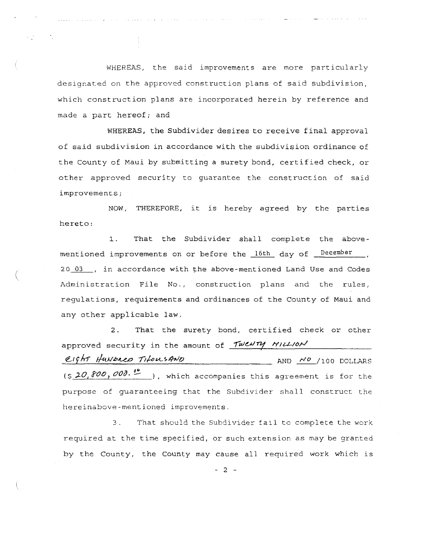WHEREAS, the said improvements are more particularly designated on the approved construction plans of said subdivision, which construction plans *are* incorporated herein by reference and made <sup>a</sup> part hereof; and

WHEREAS, the Subdivider desires to receive final approval of said subdivision in accordance with the subdivision ordinance of the County of Maul by submitting <sup>a</sup> surety bond, certified check, or other approved security to guarantee the construction of said improvements;

NOW, THEREFORE, it is hereby agreed by the parties hereto:

1. That the Subdivider shall complete the abovementioned improvements on or before the 16th day of December Administration File No., construction plans and the rules, 20 03 . in accordance with the above-mentioned Land Use and Codes regulations, requirements and ordinances of the County of Maui and any other applicable law.

I ~.

> 2. That the surety bond, certified check or other approved security in the amount of Twenty Million Eight Hunbred TifousAND AND NO /100 DOLLARS  $(5, 20, 800, 000.$   $00$  .  $\bullet$  ), which accompanies this agreement is for the purpose of guaranteeing that the Subdivider shall construct the hereinabove-mentioned improvements.

> 3. That should the subdivider fail to complete che work required at the time specified, or such extension as may be granted by the County, the County may cause all required work which is

> > - 2 -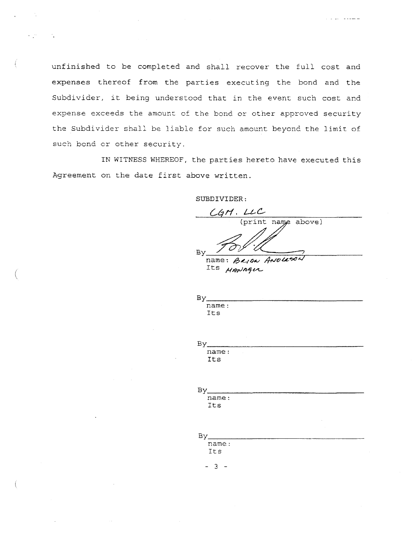unfinished to be completed and shall recover the full cost and expenses thereof from the parties executing the bond and the Subdivider, it being understood that in the event such cost and expense exceeds the amount of the bond or other approved security the Subdivider shall be liable for such amount beyond the limit of such bond or other security.

IN WITNESS WHEREOF, the parties hereto have executed this Agreement on the date first above written.

(

 $\left($ 

SUBDIVIDER:

 $CGM.LLC$  $\mathscr{A}$  $By *Y U U U W And Y Y Y W W W W W W W W W W W W W W W W W W W W W W*$ 

a provincia de

Its *HANAGUL* 

 $Bv$ name: Its

| Βv    |  |  |  |
|-------|--|--|--|
| name: |  |  |  |
| Its   |  |  |  |
|       |  |  |  |

| name: |  |
|-------|--|
| Its   |  |

| Βv    |  |  |  |
|-------|--|--|--|
| name: |  |  |  |
| Its   |  |  |  |

- 3 -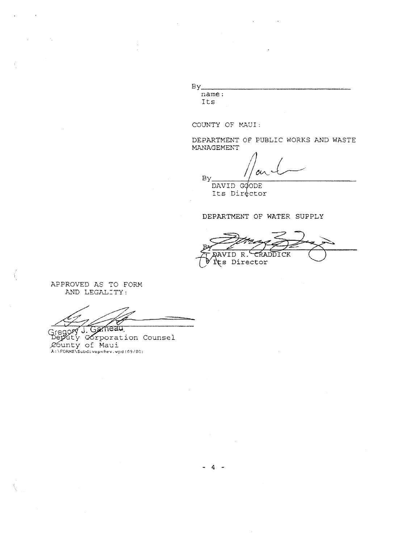$By$ name: Its

COUNTY OF MAUI:

DEPARTMENT OF PUBLIC WORKS AND WASTE MANAGEMENT

ou By. DAVID GOODE

Its Director

# DEPARTMENT OF WATER SUPPLY

AVID R. CRADDICK Its Director

APPROVED AS TO FORM AND LEGALITY:

-ń

regory J. Gameau<br>Seputy corporation Counsel De County of Maui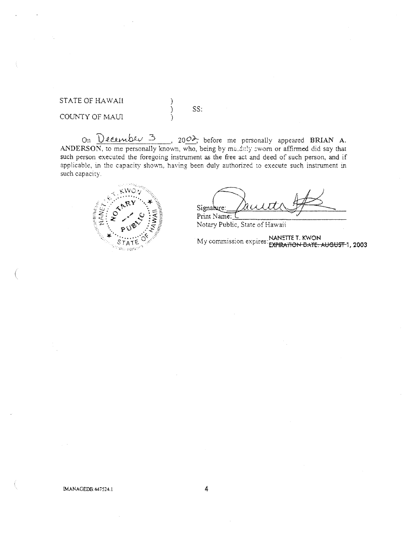**STATE OF HAWAII** 

COUNTY OF MAUI

On  $\overline{D}$  equals  $\overline{D}$  and  $\overline{D}$  and  $\overline{D}$  and  $\overline{D}$  and  $\overline{D}$  before me personally appeared BRIAN A.<br>ANDERSON, to me personally known, who, being by modelly eworm or affirmed did say that such person executed the foregoing instrument as the free act and deed of such person, and if applicable, in the capacity shown, having been duly authorized to execute such instrument in such capacity.

SS:

 $\big)$  $\left\{ \right\}$ 



Signalure: Print Name:

Notary Public, State of Hawaii

My commission expires: NANETTE T. KWON<br>EXPIRATION DATE: AUGUST-1, 2003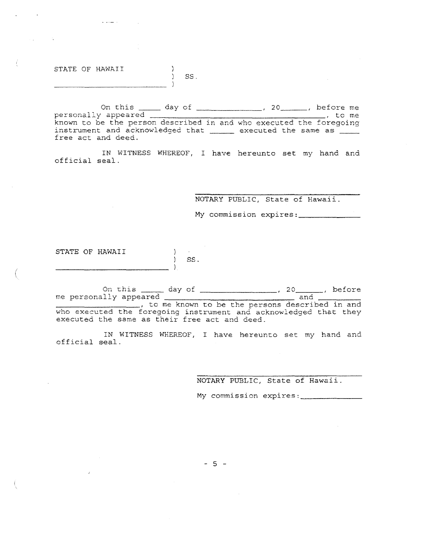STATE OF HAWAII

المستوع

On this \_\_\_\_\_ day of \_\_\_\_\_\_\_\_\_\_\_\_\_\_\_, 20\_\_\_\_\_\_, before me  $\overline{\phantom{a}}$ , to me who executed the foregoing executed the same as personally appeared known to be the person described in and instrument and acknowledged that free act and deed.

S8.

 $\mathcal{Y}$ 

IN WITNESS WHEREOF, I have hereunto set my hand and official seal.

NOTARY PUBLIC, State of Hawaii.

My commission expires:

STATE OF HAWAII  $\rightarrow$  $\sim 100$  $)$  SS.

(

On this \_\_\_\_\_ day of \_\_\_\_\_\_\_\_\_\_\_\_\_\_\_\_\_, 20\_\_\_\_\_\_, before me personally appeared and \_\_\_\_\_\_\_\_\_\_\_\_\_ , to me kno~~ to be the persons described in and who executed the foregoing instrument and acknowledged that they and incomeded the recogning incordential and deed.

IN WITNESS WHEREOF, I have hereunto set my hand and official seal.

NOTARY PUBLIC, State of Hawaii.

My commission expires :

 $-5 -$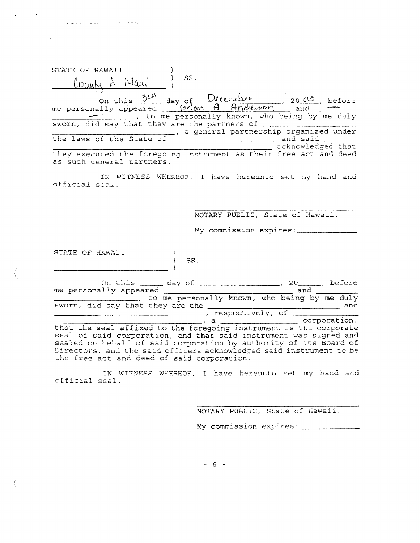| STATE OF HAWAII                                                                                |     |                                              |                   |  |
|------------------------------------------------------------------------------------------------|-----|----------------------------------------------|-------------------|--|
| County of Mani                                                                                 | SS. |                                              |                   |  |
|                                                                                                |     |                                              |                   |  |
|                                                                                                |     | to me personally known, who being by me duly |                   |  |
| sworn, did say that they are the partners of                                                   |     |                                              |                   |  |
|                                                                                                |     | a general partnership organized under        |                   |  |
| the laws of the State of                                                                       |     |                                              | and said          |  |
|                                                                                                |     |                                              | acknowledged that |  |
| they executed the foregoing instrument as their free act and deed<br>as such general partners. |     |                                              |                   |  |

IN WITNESS WHEREOF, I have hereunto set my hand and official seal.

NOTARY PUBLIC, State of Hawaii.

My commission expires:

STATE OF HAWAII  $\overline{ }$ 

where the second constraint is the contract of the second constraint  $\mathcal{S}^{\mathcal{A}}$ 

|                                  |  |  | On this ______ day of |                                              |     |  | before       |
|----------------------------------|--|--|-----------------------|----------------------------------------------|-----|--|--------------|
| me personally appeared           |  |  |                       |                                              | and |  |              |
|                                  |  |  |                       | to me personally known, who being by me duly |     |  |              |
| sworn, did say that they are the |  |  |                       |                                              |     |  | and          |
|                                  |  |  |                       | respectively, of                             |     |  |              |
|                                  |  |  |                       |                                              |     |  | corporation; |

SS.

that the seal affixed to the foregoing instrument is the corporate seal of said corporation, and that said instrument was signed and sealed on behalf of said corporation by authority of its Board of<br>Directors, and the said officers acknowledged said instrument to be<br>the free act and deed of said corporation.

IN WITNESS WHEREOF, I have hereunto set my hand and official seal.

NOTARY PUBLIC, State of Hawaii.

My commission expires:

 $-6 -$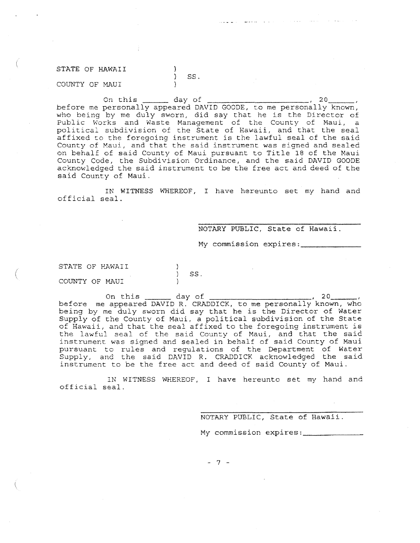#### STATE OF HAWAII J. Ĵ. COUNTY OF MAUI J.

On this day of , <sup>20</sup> , before me personally appeared DAVID GOODE, to me personally known, who being by me duly sworn, did say that he is the Director of Public Works and Waste Management of the County of Maui, a political subdivision of the State of Hawaii, and that the seal affixed to the foregoing instrument is the lawful seal of the said County of Maui, and that the said instrument was signed and sealed on behalf of said County of Maui pursuant to Title <sup>18</sup> of the Maui County Code, the Subdivision Ordinance, and the said DAVID GOODE acknowledged the said instrument to be the free act and deed of the said County of Maui.

SS.

IN WITNESS WHEREOF, <sup>I</sup> have hereunto set my hand and official seal.

### NOTARY PUBLIC, State of Hawaii.

 $\mathcal{A}$  , and  $\mathcal{A}$  , and  $\mathcal{A}$  , and  $\mathcal{A}$ 

**Service** Contractor

My commission expires:

STATE OF HAWAII

COUNTY OF MAUI

(

On this  $\frac{1}{20}$  day of  $\frac{20}{20}$ before me appeared DAVID R. CRADDICK, to me personally known, who being by me duly sworn did say that he is the Director of Water Supply of the County of Maui, <sup>a</sup> political subdivision of the State of Hawaii, and that the seal affixed to the foregoing instrument is the lawful seal of the said County of Maui, and that the said instrumenc was signed and sealed in behalf of said County of Maui pursuant to rules and requlations of the Department of Water Supply, and the said DAVID R. CRADDICK acknowledged the said instrument to be the free act: and deed of said County of Maui.

55.

 $\lambda$ 

IN WITNESS WHEREOF, I have hereunto set my hand and official seal.

NOTARY PUBLIC, State of Hawaii.

My commission expires:

- 7 -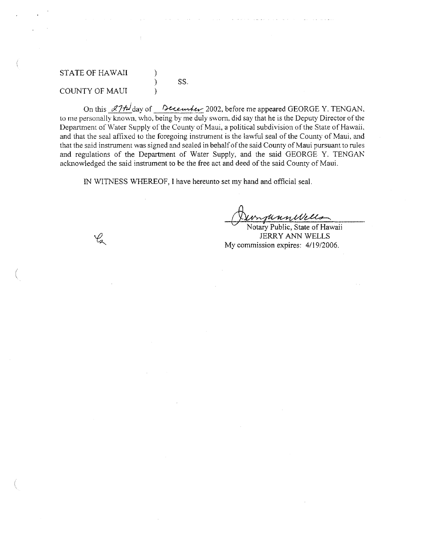#### STATE OF HAWAII COUNTY OF MAUl ) ) ) ss.

 $\mathscr{C}_{\mathbf{z}}$ 

(

On this  $27$ t day of December 2002, before me appeared GEORGE Y. TENGAN. to me personally known, who, being by me duly sworn, did say that he is the Deputy Director of the Department of Water Supply of the County of Maui, a political subdivision of the State of Hawaii, and that the seal affixed to the foregoing instrument is the lawful seal of the Cowny of Maui, and that the said instrument was signed and sealed in behalf of the said County of Maui pursuant to rules and regulations of the Department of Water Supply, and the said GEORGE Y. TENGAN acknowledged the said instrument to be the free act and deed of the said County of Maui.

IN WITNESS WHEREOF, I have hereunto set my hand and official seal.

*UnyunnWells*<br>Notary Public, State of Hawaii

JERRY ANN WELLS My commission expires: 4/19/2006.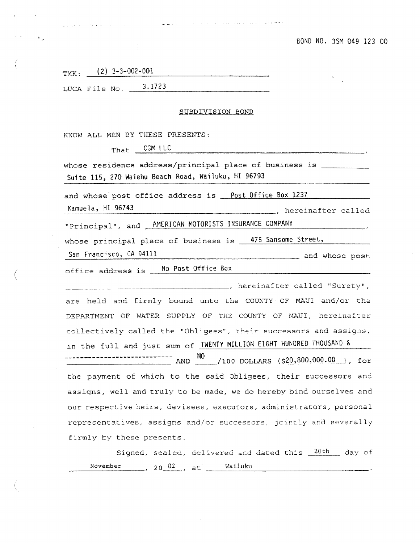and whose post

TMK:  $(2)$  3-3-002-001 LUCA File No.  $\qquad \qquad 3.1723$ 

وكوحتها استداد وخبير وبرداد المراد والمراد وبالمناص الرواد والمناور والمنادر المراد والانتقاد وبالمتحدث

#### SUBDIVISION BOND

KNOW ALL MEN BY THESE PRESENTS:

 $\mathbb{S}^n$  .

CGM LLC That

whose residence address/principal place of business is \_\_\_\_\_\_\_\_\_\_\_ Suite 115, 270 Waiehu Beach Road, Wailuku, HI 96793

and whose post office address is Post Office Box 1237

Kamuela, HI 96743 \_\_\_\_\_, hereinafter called "Principal", and **AMERICAN MOTORISTS INSURANCE COMPANY** 

whose principal place of business is 475 Sansome Street,

San Francisco, CA 94111

office address is No Post Office Box

hereinafter called "Surety", are held and firmly bound unto the COUNTY OF MAUI and/or the DEPARTMENT OF WATER SUPPLY OF THE COUNTY OF MAUI, hereinafter collectively called the "Obligees", their successors and assigns, in the full and just sum of **TWENTY MILLION EIGHT HUNDRED THOUSAND &** --------------------------- AND NO /100 DOLLARS (\$20,800,000.00 ), for the payment of which to the said Obligees, their successors and assigns, well and truly to be made, we do hereby bind ourselves and our respective heirs, devisees, executors, administrators, personal representatives, assigns and/or successors, jointly and severally firmly by these presents.

Signed, sealed, delivered and dated this 20th day of November ,  $20 \frac{02}{100}$ , at  $\frac{1}{20}$  Wailuku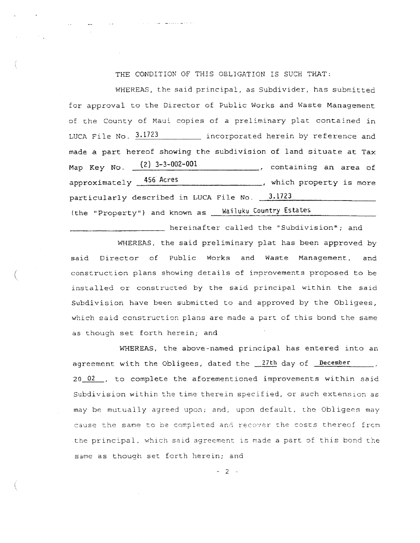THE CONDITION OF THIS OBLIGATION IS SUCH THAT:

WHEREAS, the said principal, as Subdivider, has submitted for approval to the Director of Public Works and Waste Management of the County of Maui copies of a preliminary plat contained in LUCA File No.  $3.1723$  incorporated herein by reference and made <sup>a</sup> part hereof showing the subdivision of land situate at Tax which property is more Map Key No. (2) 3-3-002-001 approximately 456 Acres (2) 2-3-000 containing an area of particularly described in LUCA File No.  $13.1723$ (the "Property") and known as Wailuku Country Estates

WHEREAS, the said preliminary plat has been approved by said Director of Public Works and Waste Management, and ( conscruction plans showing details of improvements proposed to be installed or constructed by the said principal within the said Subdivision have been submitted to and approved by the Obligees, which said construction plans are made a part of this bond the same as though set forth herein; and

**hereinafter called the "Subdivision"; and** 

WHEREAS, the above-named principal has entered into an agreement with the Obligees, dated the 27th day of December  $20 \t02$ , to complete the aforementioned improvements within said subdivision within the time therein specified, or such extenslon as may be mutually agreed upon; and, upon default. the Obligees may cause the same to be completed and recover the costs thereof from the principal, which said agreement is made a part of this bond the same as though set forth herein; and

 $-2 - 1$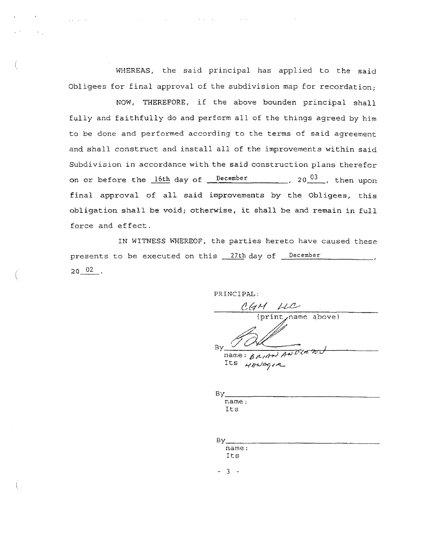WHEREAS, the said principal has applied to the said Obligees for final approval of the subdivision map for recordation;

NOW, THEREFORE, if the above bounden principal shall fully and faithfully do and perform all of the things agreed by him to be done and performed according to the terms of said agreement and shall construct and install all of the improvements within said Subdivision in accordance with the said construction plans therefor on or before the  $16th$  day of  $r = 16th$   $\frac{b^2}{2000}$ , then upon final approval of all said improvements by the Obligees, this obligation shall be void; otherwise, it shall be and remain in full force and effect.

IN WITNESS WHEREOF, the parties hereto have caused these presents to be executed on this <u>27th</u> day of <u>December</u>  $20~^{02}$ .

(

PRINCIPAL:

mame above) *.d* P' ~.--  $B_Y$  (1)  $\alpha$  $\overline{n}$  mame:  $6$   $\rho$ ,  $\rho$   $\rho$ )  $\rho$   $\rho$   $\sigma$   $\sigma$   $\nu$   $\nu$ Its *HANAGIR* 

 $\mathsf{By}$   $\Box$ name: Its

| Έv    |  |  |
|-------|--|--|
| name: |  |  |
| Its   |  |  |
|       |  |  |

- 3 -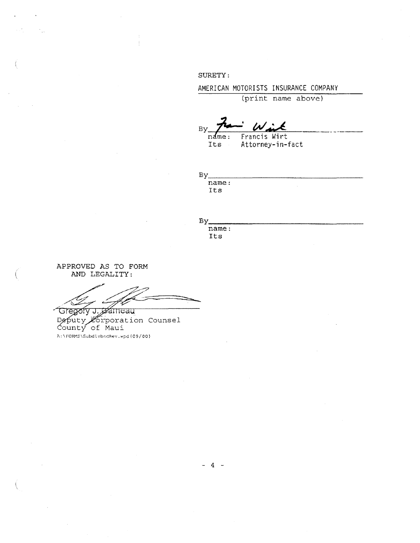SURETY:

AMERICAN MOTORISTS INSURANCE COMPANY

(print name above}

 $B_Y$   $\overrightarrow{p}$  *With* 

name: Francis Wirt<br>Its Attorney-in-Attorney-in-fact

 $Bv$ name:

Its

 $\mathbf{p}_{\mathcal{M}}$ 

By<br>name: Its

APPROVED AS TO FORM AND LEGALITY:

Gregory J. gameau Deputy Crporation Counsel<br>County of Maui A:\FORMS\SubdivbndRev.wpd{09/00}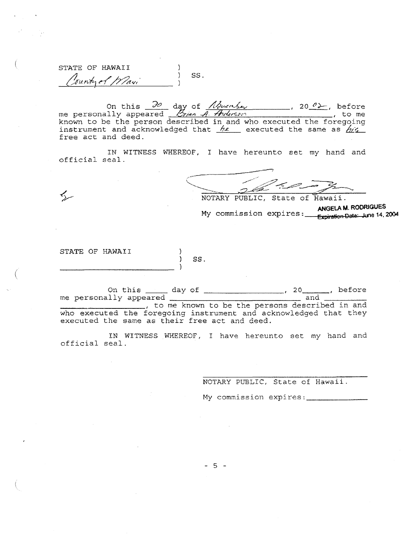STATE OF HAWAII SS. Country of Wavi

on this  $\frac{\partial o}{\partial x}$  day of *November* 1 20  $\ell$ . before<br>me personally appeared *Brian A. Anderson* 1 20 me known to be the person described in and who executed the foregoing instrument and acknowledged that  $h$ e executed the same as  $h/s$ free act and deed.

IN WITNESS WHEREOF, I have hereunto set my hand and official seal.

NOTARY PUBLIC, State of Hawaii.

ANGELA M. RODRIGUES My commission expires: <u>Anuel Museum</u> 2004

STATE OF HAWAII

 $\leq$ 

SS.

 $\lambda$ 

On this day of 20 ne personally appeared 20 and and 20 and 20 and 20 and 20 and 20 and 20 and 20 and 20 and 20 and 20 and 20 and 20 and 20 and 20 and 20 and 20 and 20 and 20 and 20 and 20 and 20 and 20 and 20 and 20 and 20 who executed the foregoing instrument and acknowledged that they executed the same as their free act and deed.

IN WITNESS WHEREOF, I have hereunto set my hand and official seal.

NOTARY PUBLIC, State of Hawaii.

My commission expires: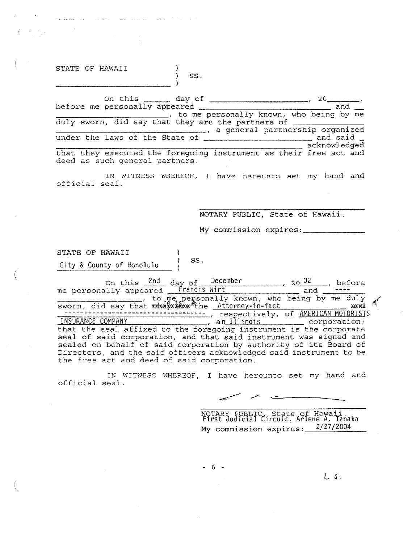STATE OF HAWAII

المتوارد فالمناصب المستقيم والمتحدث والمناد

58.

On this day of , 20 \_ before me personally appeared and \_\_\_\_\_\_\_\_\_\_\_\_\_\_\_\_----,\_, to me personally known, who being by me duly sworn, did say that they are the partners of \_\_\_\_\_\_\_\_\_\_\_\_\_\_\_\_\_\_\_\_\_\_, a general partnership organized under the laws of the laws of the state of the State of and said acknowledged that they executed the foregoing instrument as their free act and deed as such general partners.

IN WITNESS WHEREOF, I have hereunto set my hand and official seal.

NOTARY PUBLIC, State of Hawaii.

My commission expires: \_

STATE OF HAWAII City & County of Honolulu  $\left.\begin{array}{ccc} \rangle & SS. \end{array}\right.$ 

(

On this  $\frac{2nd}{dx}$  day of December , 2002 , before me personally appeared Francis Wirt and True and True and True ... sworn, did say that *xxxxxxxxx* the <u>Attorney-in-fact</u> :s: xxxx *n* ------------------------------------ , respectively, of AMERICAN MOTORISTS INSURANCE COMPANY , an Illinois (and Internation) that the seal affixed to the foregoing instrument is the corporate seal of said corporation, and that said instrument was signed and sealed on behalf of said corporation by authority of its Board of Directors, and the said officers acknowledged said instrument to be the free act and deed of said corporation.

IN WITNESS WHEREOF, <sup>I</sup> have hereunto set my hand and official seal.

 $\overline{\phantom{a}}$ 

NOTARY PUBLIC, State of Hawaii.<br>First Judicial Circuit, Arlene A. Tanaka My commission expires: 2/27/2004

 $L$  s.

- 6 -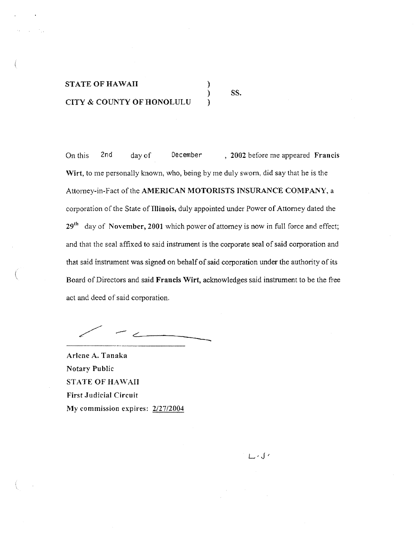# STATE OF HAWAII CITY & COUNTY OF HONOLULU

SS.

) ) )

On this 2nd dayof December , 2002 before me appeared Francis Wirt, to me personally known, who, being by me duly swom, did say that he is the Attorney-in-Fact of the AMERICAN MOTORISTS INSURANCE COMPANY, a corporation of the State of Illinois, duly appointed under Power of Attorney dated the  $29<sup>th</sup>$  day of November, 2001 which power of attorney is now in full force and effect; and that the seal affixed to said instrument is the corporate seal of said corporation and that said instrument was signed on behalf of said corporation under the authority of its Board of Directors and said Francis Wirt, acknowledges said instrument to be the free act and deed of said corporation.

 $\overline{\phantom{a}}$ 

Arlene A. Tanaka Notary Public STATE OF HAWAII First Judicial Circuit My commission expires: 2/27/2004

، ک سا